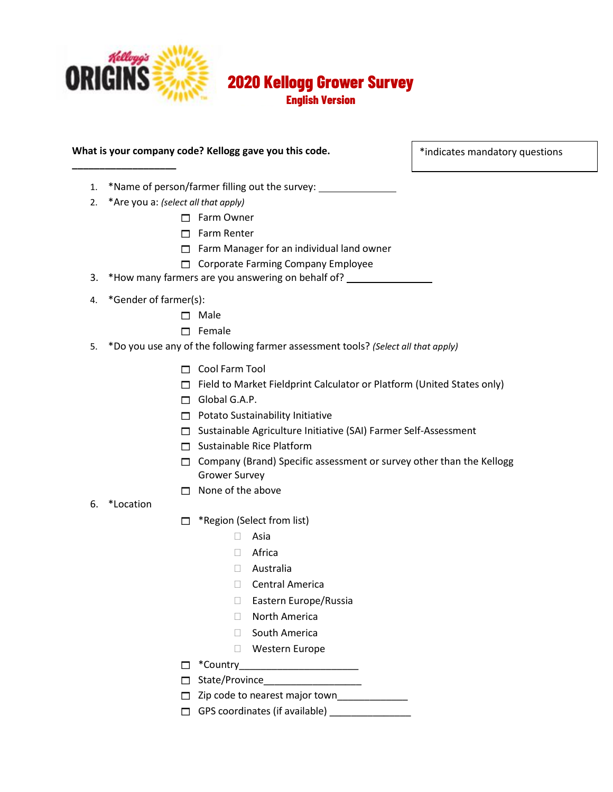

**\_\_\_\_\_\_\_\_\_\_\_\_\_\_\_\_\_\_\_**

**2020 Kellogg Grower Survey**

**English Version**

### **What is your company code? Kellogg gave you this code.**

\*indicates mandatory questions

- 1. \*Name of person/farmer filling out the survey:
- 2. \*Are you a: *(select all that apply)*
	- Farm Owner
	- $\Box$  Farm Renter
	- $\Box$  Farm Manager for an individual land owner
	- Corporate Farming Company Employee
- 3. \*How many farmers are you answering on behalf of?
- 4. \*Gender of farmer(s):
	- □ Male
	- $\Box$  Female
- 5. \*Do you use any of the following farmer assessment tools? *(Select all that apply)*
	- Cool Farm Tool
	- $\Box$  Field to Market Fieldprint Calculator or Platform (United States only)
	- Global G.A.P.
	- $\Box$  Potato Sustainability Initiative
	- □ Sustainable Agriculture Initiative (SAI) Farmer Self-Assessment
	- $\Box$  Sustainable Rice Platform
	- $\Box$  Company (Brand) Specific assessment or survey other than the Kellogg Grower Survey
	- $\Box$  None of the above
- 6. \*Location
- □ \*Region (Select from list)
	- $\Box$  Asia
	- □ Africa
	- Australia
	- □ Central America
	- □ Eastern Europe/Russia
	- North America
	- □ South America
	- Western Europe
- $\Box$  \*Country
- $\Box$  State/Province
- $\Box$  Zip code to nearest major town
- $\Box$  GPS coordinates (if available)  $\Box$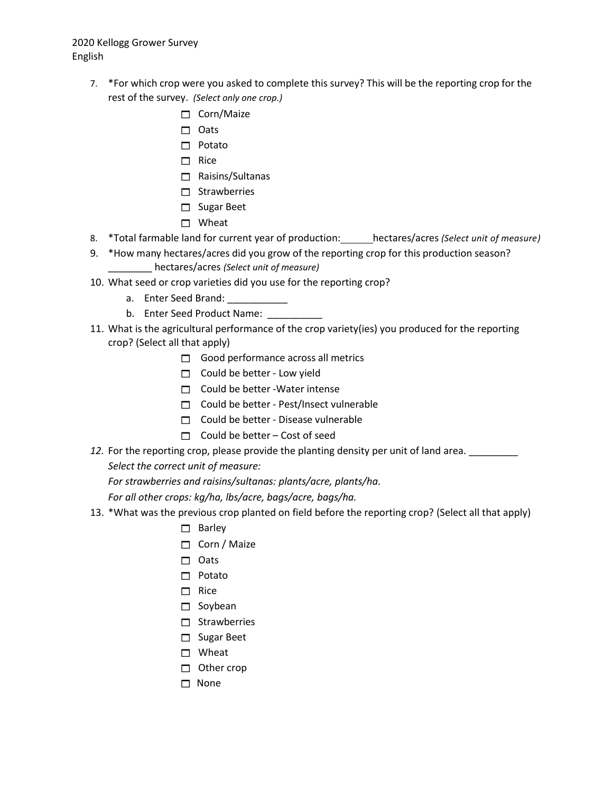- 7. \*For which crop were you asked to complete this survey? This will be the reporting crop for the rest of the survey. *(Select only one crop.)*
	- □ Corn/Maize
	- □ Oats
	- $\Box$  Potato
	- $\Box$  Rice
	- Raisins/Sultanas
	- $\Box$  Strawberries
	- □ Sugar Beet
	- □ Wheat
- 8. \*Total farmable land for current year of production: hectares/acres *(Select unit of measure)*
- 9. \*How many hectares/acres did you grow of the reporting crop for this production season? \_\_\_\_\_\_\_\_ hectares/acres *(Select unit of measure)*
- 10. What seed or crop varieties did you use for the reporting crop?
	- a. Enter Seed Brand: \_\_\_\_\_\_\_\_\_\_\_
	- b. Enter Seed Product Name: \_\_\_\_\_
- 11. What is the agricultural performance of the crop variety(ies) you produced for the reporting crop? (Select all that apply)
	- Good performance across all metrics
	- $\Box$  Could be better Low yield
	- $\Box$  Could be better -Water intense
	- $\Box$  Could be better Pest/Insect vulnerable
	- $\Box$  Could be better Disease vulnerable
	- $\Box$  Could be better Cost of seed
- 12. For the reporting crop, please provide the planting density per unit of land area. \_\_\_\_\_\_\_\_ *Select the correct unit of measure:*

*For strawberries and raisins/sultanas: plants/acre, plants/ha.*

*For all other crops: kg/ha, lbs/acre, bags/acre, bags/ha.*

- 13. \*What was the previous crop planted on field before the reporting crop? (Select all that apply)
	- $\Box$  Barley
	- Corn / Maize
	- $\Box$  Oats
	- $\Box$  Potato
	- $\Box$  Rice
	- $\square$  Soybean
	- $\Box$  Strawberries
	- □ Sugar Beet
	- □ Wheat
	- $\Box$  Other crop
	- $\Box$  None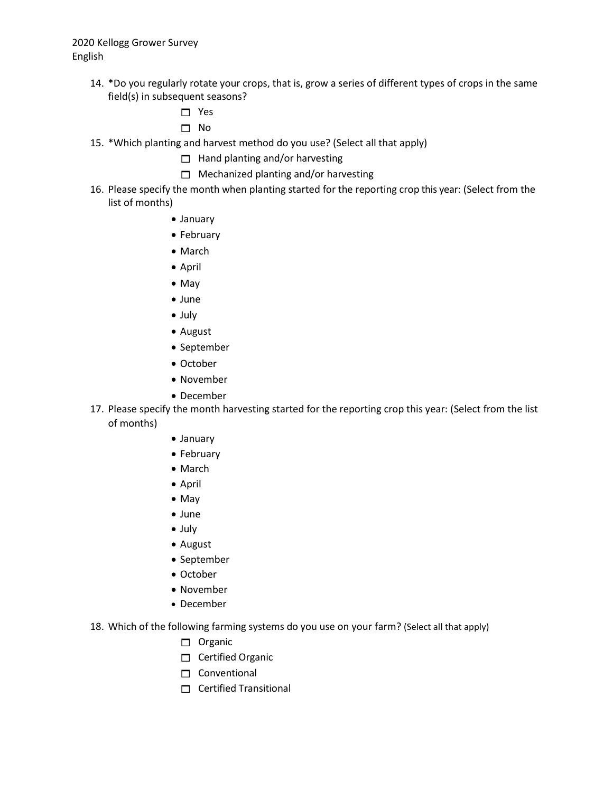- 14. \*Do you regularly rotate your crops, that is, grow a series of different types of crops in the same field(s) in subsequent seasons?
	- □ Yes
	- No
- 15. \*Which planting and harvest method do you use? (Select all that apply)

 $\Box$  Hand planting and/or harvesting

- $\Box$  Mechanized planting and/or harvesting
- 16. Please specify the month when planting started for the reporting crop this year: (Select from the list of months)
	- January
	- February
	- March
	- April
	- May
	- June
	- July
	- August
	- September
	- October
	- November
	- December
- 17. Please specify the month harvesting started for the reporting crop this year: (Select from the list of months)
	- January
	- February
	- March
	- April
	- May
	- June
	- July
	- August
	- September
	- October
	- November
	- December
- 18. Which of the following farming systems do you use on your farm? (Select all that apply)
	- $\Box$  Organic
	- Certified Organic
	- $\Box$  Conventional
	- $\Box$  Certified Transitional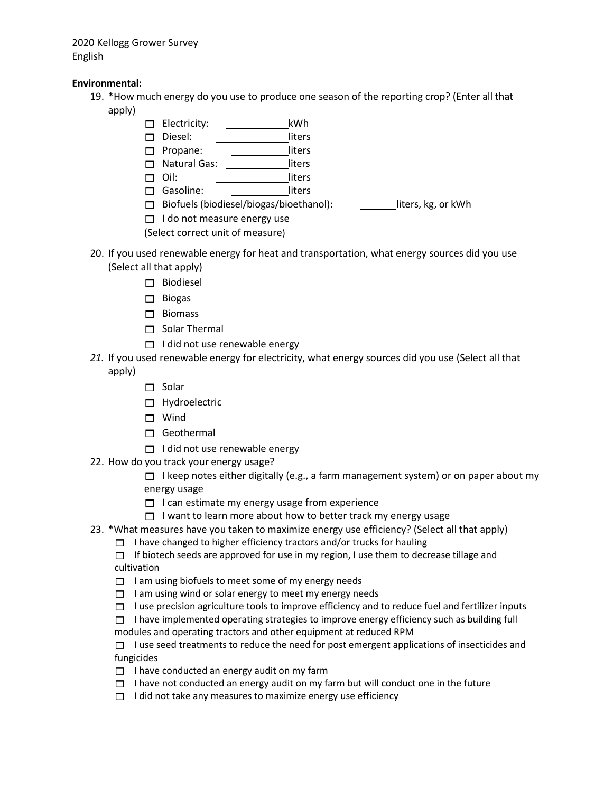### **Environmental:**

- 19. \*How much energy do you use to produce one season of the reporting crop? (Enter all that apply)
	- Electricity: kWh
	- Diesel: liters
	- Propane: liters
	- □ Natural Gas: \_\_\_\_\_\_\_\_\_\_\_\_\_liters
	- □ Oil: liters
	- Gasoline: liters
	- $\Box$  Biofuels (biodiesel/biogas/bioethanol): liters, kg, or kWh
	- $\Box$  I do not measure energy use
	- (Select correct unit of measure)
- 20. If you used renewable energy for heat and transportation, what energy sources did you use (Select all that apply)
	- □ Biodiesel
	- $\Box$  Biogas
	- $\Box$  Biomass
	- $\Box$  Solar Thermal
	- $\Box$  I did not use renewable energy
- *21.* If you used renewable energy for electricity, what energy sources did you use (Select all that apply)
	- $\Box$  Solar
		- Hydroelectric
		- □ Wind
		- Geothermal
		- $\Box$  I did not use renewable energy
- 22. How do you track your energy usage?
	- $\Box$  I keep notes either digitally (e.g., a farm management system) or on paper about my energy usage
	- $\Box$  I can estimate my energy usage from experience
	- $\Box$  I want to learn more about how to better track my energy usage
- 23. \*What measures have you taken to maximize energy use efficiency? (Select all that apply)
	- $\Box$  I have changed to higher efficiency tractors and/or trucks for hauling
	- $\Box$  If biotech seeds are approved for use in my region, I use them to decrease tillage and cultivation
	- $\Box$  I am using biofuels to meet some of my energy needs
	- $\Box$  I am using wind or solar energy to meet my energy needs
	- $\Box$  I use precision agriculture tools to improve efficiency and to reduce fuel and fertilizer inputs
	- $\Box$  I have implemented operating strategies to improve energy efficiency such as building full modules and operating tractors and other equipment at reduced RPM
	- $\Box$  I use seed treatments to reduce the need for post emergent applications of insecticides and fungicides
	- $\Box$  I have conducted an energy audit on my farm
	- $\Box$  I have not conducted an energy audit on my farm but will conduct one in the future
	- $\Box$  I did not take any measures to maximize energy use efficiency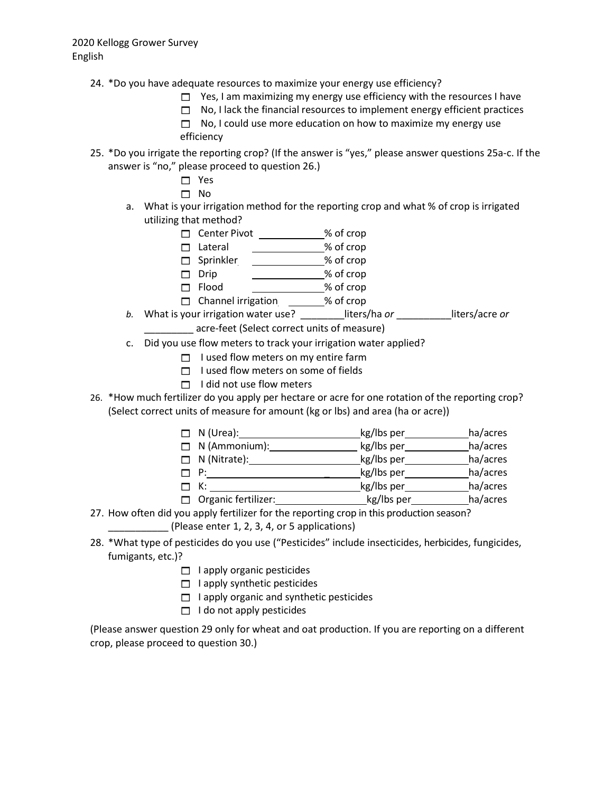- 24. \*Do you have adequate resources to maximize your energy use efficiency?
	- $\Box$  Yes, I am maximizing my energy use efficiency with the resources I have
	- $\Box$  No, I lack the financial resources to implement energy efficient practices
	- $\Box$  No, I could use more education on how to maximize my energy use efficiency
- 25. \*Do you irrigate the reporting crop? (If the answer is "yes," please answer questions 25a-c. If the answer is "no," please proceed to question 26.)
	- Yes
	- No
	- a. What is your irrigation method for the reporting crop and what % of crop is irrigated utilizing that method?
		- Center Pivot \_\_\_\_\_\_\_\_\_\_\_\_% of crop
		- □ Lateral \_\_\_\_\_\_\_\_\_\_\_\_\_\_% of crop
		- □ Sprinkler <u>\_\_\_\_\_\_\_\_\_\_\_\_\_\_\_</u>% of crop
		- □ Drip \_\_\_\_\_\_\_\_\_\_\_\_\_\_% of crop
		- □ Flood \_\_\_\_\_\_\_\_\_\_\_\_\_\_% of crop
	- □ Channel irrigation \_\_\_\_\_\_\_% of crop *b.* What is your irrigation water use? \_\_\_\_\_\_\_\_liters/ha *or* \_\_\_\_\_\_\_\_\_\_liters/acre *or*
		- \_\_\_\_\_\_\_\_\_ acre-feet (Select correct units of measure)
	- c. Did you use flow meters to track your irrigation water applied?
		- $\Box$  I used flow meters on my entire farm
		- $\Box$  I used flow meters on some of fields
		- $\Box$  I did not use flow meters
- 26. \*How much fertilizer do you apply per hectare or acre for one rotation of the reporting crop? (Select correct units of measure for amount (kg or lbs) and area (ha or acre))

| $\Box$ N (Urea):     | kg/lbs per | ha/acres |
|----------------------|------------|----------|
| $\Box$ N (Ammonium): | kg/lbs per | ha/acres |

- $\Box$  N (Nitrate):  $\Box$  N (Nitrate):
- P: \_ kg/lbs per ha/acres
- K: kg/lbs per ha/acres
- □ Organic fertilizer: Management May loss per ha/acres
- 27. How often did you apply fertilizer for the reporting crop in this production season? \_\_\_\_\_\_\_\_\_\_\_ (Please enter 1, 2, 3, 4, or 5 applications)
- 28. \*What type of pesticides do you use ("Pesticides" include insecticides, herbicides, fungicides, fumigants, etc.)?
	- $\Box$  I apply organic pesticides
	- $\Box$  I apply synthetic pesticides
	- $\Box$  I apply organic and synthetic pesticides
	- $\Box$  I do not apply pesticides

(Please answer question 29 only for wheat and oat production. If you are reporting on a different crop, please proceed to question 30.)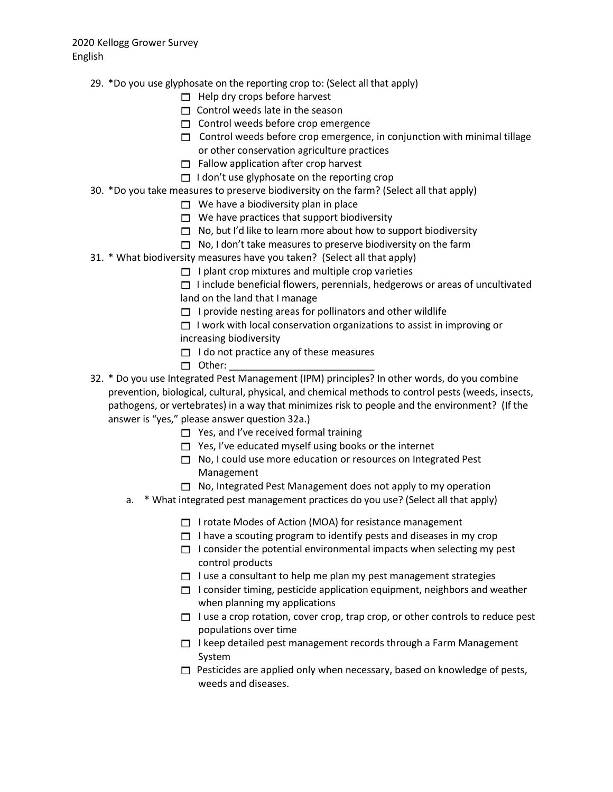- 29. \*Do you use glyphosate on the reporting crop to: (Select all that apply)
	- $\Box$  Help dry crops before harvest
	- $\Box$  Control weeds late in the season
	- $\Box$  Control weeds before crop emergence
	- $\Box$  Control weeds before crop emergence, in conjunction with minimal tillage or other conservation agriculture practices
	- $\Box$  Fallow application after crop harvest
	- $\Box$  I don't use glyphosate on the reporting crop
- 30. \*Do you take measures to preserve biodiversity on the farm? (Select all that apply)
	- $\Box$  We have a biodiversity plan in place
	- $\Box$  We have practices that support biodiversity
	- $\Box$  No, but I'd like to learn more about how to support biodiversity
	- $\Box$  No, I don't take measures to preserve biodiversity on the farm
- 31. \* What biodiversity measures have you taken? (Select all that apply)
	- $\Box$  I plant crop mixtures and multiple crop varieties
	- $\Box$  I include beneficial flowers, perennials, hedgerows or areas of uncultivated land on the land that I manage
	- $\Box$  I provide nesting areas for pollinators and other wildlife
	- $\Box$  I work with local conservation organizations to assist in improving or increasing biodiversity
	- $\Box$  I do not practice any of these measures
	- $\Box$  Other:
- 32. \* Do you use Integrated Pest Management (IPM) principles? In other words, do you combine prevention, biological, cultural, physical, and chemical methods to control pests (weeds, insects, pathogens, or vertebrates) in a way that minimizes risk to people and the environment? (If the answer is "yes," please answer question 32a.)
	- $\Box$  Yes, and I've received formal training
	- $\Box$  Yes, I've educated myself using books or the internet
	- $\Box$  No, I could use more education or resources on Integrated Pest Management
	- $\Box$  No, Integrated Pest Management does not apply to my operation
	- a. \* What integrated pest management practices do you use? (Select all that apply)
		- □ I rotate Modes of Action (MOA) for resistance management
		- $\Box$  I have a scouting program to identify pests and diseases in my crop
		- $\Box$  I consider the potential environmental impacts when selecting my pest control products
		- $\Box$  I use a consultant to help me plan my pest management strategies
		- $\Box$  I consider timing, pesticide application equipment, neighbors and weather when planning my applications
		- $\Box$  I use a crop rotation, cover crop, trap crop, or other controls to reduce pest populations over time
		- $\Box$  I keep detailed pest management records through a Farm Management System
		- $\Box$  Pesticides are applied only when necessary, based on knowledge of pests, weeds and diseases.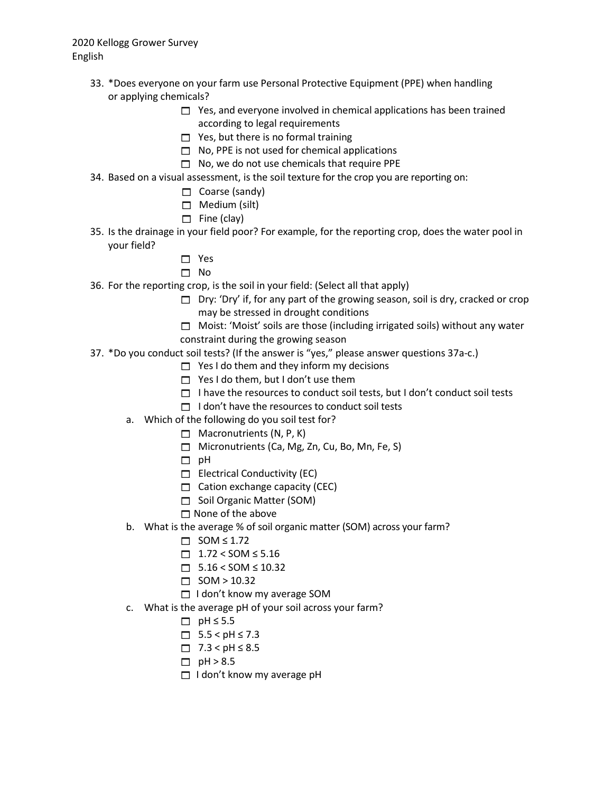- 33. \*Does everyone on your farm use Personal Protective Equipment (PPE) when handling or applying chemicals?
	- $\Box$  Yes, and everyone involved in chemical applications has been trained according to legal requirements
	- $\Box$  Yes, but there is no formal training
	- $\Box$  No, PPE is not used for chemical applications
	- $\Box$  No, we do not use chemicals that require PPE
- 34. Based on a visual assessment, is the soil texture for the crop you are reporting on:
	- $\Box$  Coarse (sandy)
	- $\Box$  Medium (silt)
	- $\Box$  Fine (clay)
- 35. Is the drainage in your field poor? For example, for the reporting crop, does the water pool in your field?
	- □ Yes
	- $\Box$  No
- 36. For the reporting crop, is the soil in your field: (Select all that apply)
	- $\Box$  Dry: 'Dry' if, for any part of the growing season, soil is dry, cracked or crop may be stressed in drought conditions
	- $\Box$  Moist: 'Moist' soils are those (including irrigated soils) without any water constraint during the growing season
- 37. \*Do you conduct soil tests? (If the answer is "yes," please answer questions 37a-c.)
	- $\Box$  Yes I do them and they inform my decisions
	- $\Box$  Yes I do them, but I don't use them
	- $\Box$  I have the resources to conduct soil tests, but I don't conduct soil tests
	- $\Box$  I don't have the resources to conduct soil tests
	- a. Which of the following do you soil test for?
		- $\Box$  Macronutrients (N, P, K)
		- $\Box$  Micronutrients (Ca, Mg, Zn, Cu, Bo, Mn, Fe, S)
		- $\Box$  pH
		- $\Box$  Electrical Conductivity (EC)
		- $\Box$  Cation exchange capacity (CEC)
		- Soil Organic Matter (SOM)
		- $\Box$  None of the above
	- b. What is the average % of soil organic matter (SOM) across your farm?
		- $\Box$  SOM  $\leq$  1.72
			- $\Box$  1.72 < SOM ≤ 5.16
			- $\Box$  5.16 < SOM ≤ 10.32
			- $\Box$  SOM > 10.32
		- $\Box$  I don't know my average SOM
	- c. What is the average pH of your soil across your farm?
		- $\Box$  pH  $\leq$  5.5
		- $\Box$  5.5 < pH ≤ 7.3
		- $\Box$  7.3 < pH ≤ 8.5
		- $\Box$  pH > 8.5
		- $\Box$  I don't know my average pH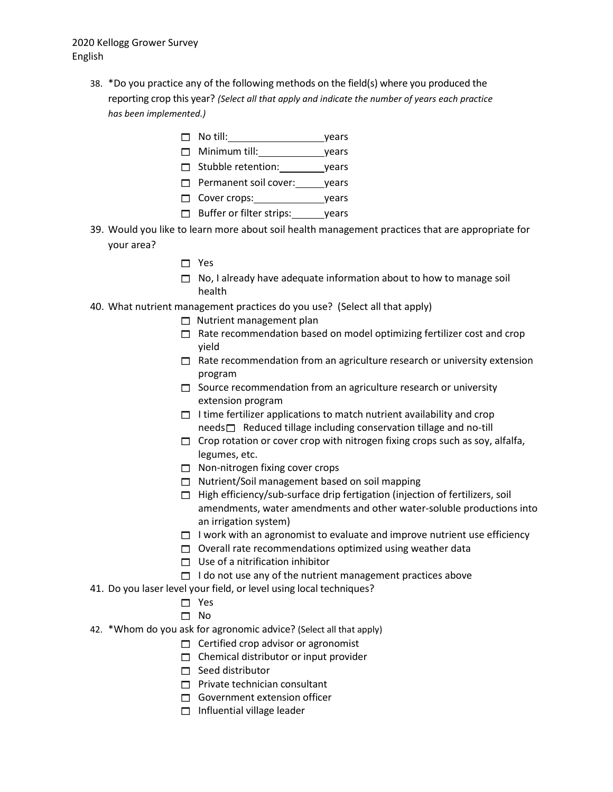- 38. \*Do you practice any of the following methods on the field(s) where you produced the reporting crop this year? *(Select all that apply and indicate the number of years each practice has been implemented.)*
	- No till: years
	- Minimum till: years
	- Stubble retention: years
	- Permanent soil cover: years
	- Cover crops: vears
	- $\Box$  Buffer or filter strips: years
- 39. Would you like to learn more about soil health management practices that are appropriate for your area?
	- □ Yes
	- $\Box$  No, I already have adequate information about to how to manage soil health
- 40. What nutrient management practices do you use? (Select all that apply)
	- $\Box$  Nutrient management plan
	- $\Box$  Rate recommendation based on model optimizing fertilizer cost and crop yield
	- $\Box$  Rate recommendation from an agriculture research or university extension program
	- $\Box$  Source recommendation from an agriculture research or university extension program
	- $\Box$  I time fertilizer applications to match nutrient availability and crop  $need s \Box$  Reduced tillage including conservation tillage and no-till
	- $\Box$  Crop rotation or cover crop with nitrogen fixing crops such as soy, alfalfa, legumes, etc.
	- $\Box$  Non-nitrogen fixing cover crops
	- □ Nutrient/Soil management based on soil mapping
	- $\Box$  High efficiency/sub-surface drip fertigation (injection of fertilizers, soil amendments, water amendments and other water-soluble productions into an irrigation system)
	- $\Box$  I work with an agronomist to evaluate and improve nutrient use efficiency
	- $\Box$  Overall rate recommendations optimized using weather data
	- $\Box$  Use of a nitrification inhibitor
	- $\Box$  I do not use any of the nutrient management practices above
- 41. Do you laser level your field, or level using local techniques?
	- Yes
	- □ No
- 42. \*Whom do you ask for agronomic advice? (Select all that apply)
	- $\Box$  Certified crop advisor or agronomist
	- $\Box$  Chemical distributor or input provider
	- $\Box$  Seed distributor
	- $\Box$  Private technician consultant
	- $\Box$  Government extension officer
	- $\Box$  Influential village leader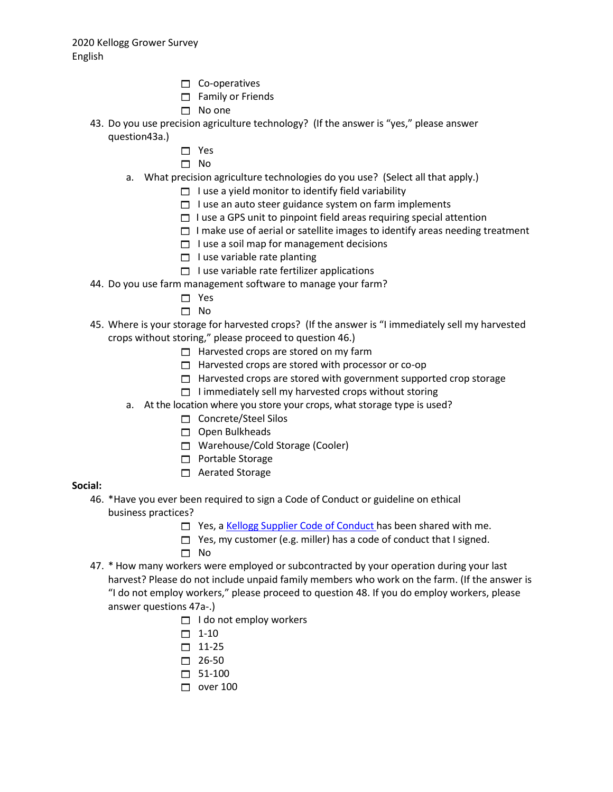- $\Box$  Co-operatives
- $\Box$  Family or Friends
- $\neg$  No one
- 43. Do you use precision agriculture technology? (If the answer is "yes," please answer question43a.)
	- □ Yes
	- $\Box$  No
	- a. What precision agriculture technologies do you use? (Select all that apply.)
		- $\Box$  I use a yield monitor to identify field variability
		- $\Box$  I use an auto steer guidance system on farm implements
		- $\Box$  I use a GPS unit to pinpoint field areas requiring special attention
		- $\Box$  I make use of aerial or satellite images to identify areas needing treatment
		- $\Box$  I use a soil map for management decisions
		- $\Box$  I use variable rate planting
		- $\Box$  I use variable rate fertilizer applications
- 44. Do you use farm management software to manage your farm?
	- □ Yes
	- $\Box$  No
- 45. Where is your storage for harvested crops? (If the answer is "I immediately sell my harvested crops without storing," please proceed to question 46.)
	- $\Box$  Harvested crops are stored on my farm
	- $\Box$  Harvested crops are stored with processor or co-op
	- $\Box$  Harvested crops are stored with government supported crop storage
	- $\Box$  I immediately sell my harvested crops without storing
	- a. At the location where you store your crops, what storage type is used?
		- Concrete/Steel Silos
		- $\Box$  Open Bulkheads
		- □ Warehouse/Cold Storage (Cooler)
		- $\Box$  Portable Storage
		- □ Aerated Storage

### **Social:**

- 46. \*Have you ever been required to sign a Code of Conduct or guideline on ethical business practices?
	- □ Yes, a Kellogg [Supplier Code of](https://www.kelloggcompany.com/content/dam/kelloggcompanyus/PDF/KelloggCompanySupplierCodeofConduct.pdf) Conduct has been shared with me.
	- $\Box$  Yes, my customer (e.g. miller) has a code of conduct that I signed.
	- No
- 47. \* How many workers were employed or subcontracted by your operation during your last harvest? Please do not include unpaid family members who work on the farm. (If the answer is "I do not employ workers," please proceed to question 48. If you do employ workers, please answer questions 47a-.)
	- $\Box$  I do not employ workers
	- $\Box$  1-10
	- $\Box$  11-25
	- $\Box$  26-50
	- $\Box$  51-100
	- $\Box$  over 100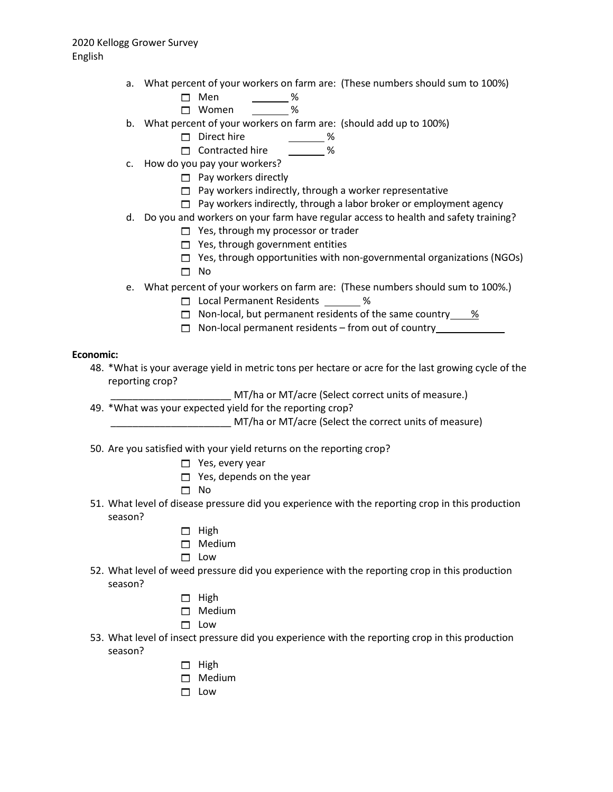- a. What percent of your workers on farm are: (These numbers should sum to 100%)
	- □ Men \_\_\_\_\_\_ % Women %
- b. What percent of your workers on farm are: (should add up to 100%)
	- Direct hire \_\_\_\_\_\_\_\_ %
	- □ Contracted hire %
- c. How do you pay your workers?
	- $\Box$  Pay workers directly
	- $\Box$  Pay workers indirectly, through a worker representative
	- $\Box$  Pay workers indirectly, through a labor broker or employment agency
- d. Do you and workers on your farm have regular access to health and safety training?
	- $\Box$  Yes, through my processor or trader
	- $\Box$  Yes, through government entities
	- $\Box$  Yes, through opportunities with non-governmental organizations (NGOs)
	- $\Box$  No
- e. What percent of your workers on farm are: (These numbers should sum to 100%.)
	- □ Local Permanent Residents \_\_\_\_\_\_\_ %
	- $\Box$  Non-local, but permanent residents of the same country  $\%$
	- □ Non-local permanent residents from out of country\_\_\_\_\_\_\_\_\_\_\_\_\_\_\_\_\_\_\_\_\_\_\_\_\_\_

### **Economic:**

- 48. \*What is your average yield in metric tons per hectare or acre for the last growing cycle of the reporting crop?
	- \_\_\_\_\_\_\_\_\_\_\_\_\_\_\_\_\_\_\_\_\_\_ MT/ha or MT/acre (Select correct units of measure.)
- 49. \*What was your expected yield for the reporting crop?
	- \_\_\_\_\_\_\_\_\_\_\_\_\_\_\_\_\_\_\_\_\_\_ MT/ha or MT/acre (Select the correct units of measure)
- 50. Are you satisfied with your yield returns on the reporting crop?
	- $\Box$  Yes, every year
	- $\Box$  Yes, depends on the year
	- $\Box$  No
- 51. What level of disease pressure did you experience with the reporting crop in this production season?
	- $\Box$  High
	- □ Medium
	- $\Box$  Low
- 52. What level of weed pressure did you experience with the reporting crop in this production season?
	- $\Box$  High
	- □ Medium
	- $\Box$  Low
- 53. What level of insect pressure did you experience with the reporting crop in this production season?
	- $\Box$  High
	- □ Medium
	- $\Box$  Low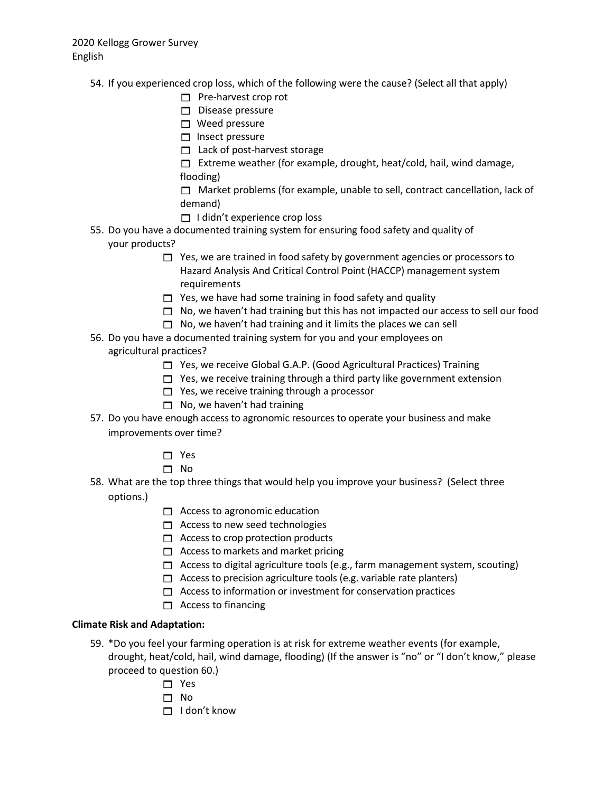- 54. If you experienced crop loss, which of the following were the cause? (Select all that apply)
	- $\Box$  Pre-harvest crop rot
	- $\Box$  Disease pressure
	- $\Box$  Weed pressure
	- $\Box$  Insect pressure
	- □ Lack of post-harvest storage

 $\Box$  Extreme weather (for example, drought, heat/cold, hail, wind damage, flooding)

 $\Box$  Market problems (for example, unable to sell, contract cancellation, lack of demand)

- $\Box$  I didn't experience crop loss
- 55. Do you have a documented training system for ensuring food safety and quality of your products?
	- $\Box$  Yes, we are trained in food safety by government agencies or processors to Hazard Analysis And Critical Control Point (HACCP) management system requirements
	- $\Box$  Yes, we have had some training in food safety and quality
	- $\Box$  No, we haven't had training but this has not impacted our access to sell our food
	- $\Box$  No, we haven't had training and it limits the places we can sell
- 56. Do you have a documented training system for you and your employees on agricultural practices?
	- $\Box$  Yes, we receive Global G.A.P. (Good Agricultural Practices) Training
	- $\Box$  Yes, we receive training through a third party like government extension
	- $\Box$  Yes, we receive training through a processor
	- $\Box$  No, we haven't had training
- 57. Do you have enough access to agronomic resources to operate your business and make improvements over time?
	- □ Yes
	- $\Box$  No
- 58. What are the top three things that would help you improve your business? (Select three options.)
	- $\Box$  Access to agronomic education
	- $\Box$  Access to new seed technologies
	- $\Box$  Access to crop protection products
	- $\Box$  Access to markets and market pricing
	- $\Box$  Access to digital agriculture tools (e.g., farm management system, scouting)
	- $\Box$  Access to precision agriculture tools (e.g. variable rate planters)
	- $\Box$  Access to information or investment for conservation practices
	- $\Box$  Access to financing

### **Climate Risk and Adaptation:**

- 59. \*Do you feel your farming operation is at risk for extreme weather events (for example, drought, heat/cold, hail, wind damage, flooding) (If the answer is "no" or "I don't know," please proceed to question 60.)
	- $\Box$  Yes
	- $\Box$  No
	- $\Box$  I don't know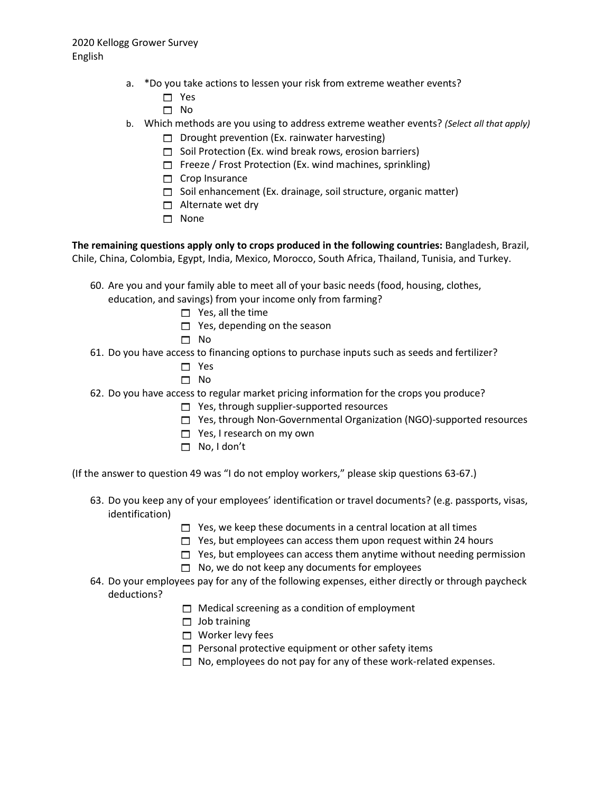- a. \*Do you take actions to lessen your risk from extreme weather events?
	- □ Yes
	- □ No
- b. Which methods are you using to address extreme weather events? *(Select all that apply)*
	- $\Box$  Drought prevention (Ex. rainwater harvesting)
	- $\Box$  Soil Protection (Ex. wind break rows, erosion barriers)
	- $\Box$  Freeze / Frost Protection (Ex. wind machines, sprinkling)
	- $\Box$  Crop Insurance
	- $\Box$  Soil enhancement (Ex. drainage, soil structure, organic matter)
	- $\Box$  Alternate wet dry
	- □ None

#### **The remaining questions apply only to crops produced in the following countries:** Bangladesh, Brazil, Chile, China, Colombia, Egypt, India, Mexico, Morocco, South Africa, Thailand, Tunisia, and Turkey.

- 60. Are you and your family able to meet all of your basic needs (food, housing, clothes, education, and savings) from your income only from farming?
	- $\Box$  Yes, all the time
	- $\Box$  Yes, depending on the season
	- $\square$  No
- 61. Do you have access to financing options to purchase inputs such as seeds and fertilizer?
	- □ Yes
	- $\square$  No
- 62. Do you have access to regular market pricing information for the crops you produce?
	- $\Box$  Yes, through supplier-supported resources
		- $\Box$  Yes, through Non-Governmental Organization (NGO)-supported resources
		- $\Box$  Yes, I research on my own
		- No, I don't
- (If the answer to question 49 was "I do not employ workers," please skip questions 63-67.)
	- 63. Do you keep any of your employees' identification or travel documents? (e.g. passports, visas, identification)
		- $\Box$  Yes, we keep these documents in a central location at all times
		- $\Box$  Yes, but employees can access them upon request within 24 hours
		- $\Box$  Yes, but employees can access them anytime without needing permission
		- $\Box$  No, we do not keep any documents for employees
	- 64. Do your employees pay for any of the following expenses, either directly or through paycheck deductions?
		- $\Box$  Medical screening as a condition of employment
		- $\Box$  Job training
		- $\Box$  Worker levy fees
		- $\Box$  Personal protective equipment or other safety items
		- $\Box$  No, employees do not pay for any of these work-related expenses.